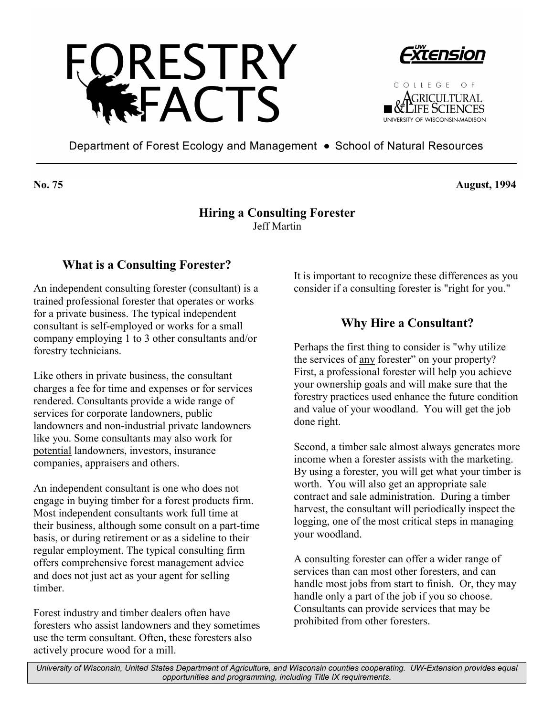





Department of Forest Ecology and Management • School of Natural Resources

**No. 75 August, 1994** 

#### **Hiring a Consulting Forester**  Jeff Martin

# **What is a Consulting Forester?**

An independent consulting forester (consultant) is a trained professional forester that operates or works for a private business. The typical independent consultant is self-employed or works for a small company employing 1 to 3 other consultants and/or forestry technicians.

Like others in private business, the consultant charges a fee for time and expenses or for services rendered. Consultants provide a wide range of services for corporate landowners, public landowners and non-industrial private landowners like you. Some consultants may also work for potential landowners, investors, insurance companies, appraisers and others.

An independent consultant is one who does not engage in buying timber for a forest products firm. Most independent consultants work full time at their business, although some consult on a part-time basis, or during retirement or as a sideline to their regular employment. The typical consulting firm offers comprehensive forest management advice and does not just act as your agent for selling timber.

Forest industry and timber dealers often have foresters who assist landowners and they sometimes use the term consultant. Often, these foresters also actively procure wood for a mill.

It is important to recognize these differences as you consider if a consulting forester is "right for you."

# **Why Hire a Consultant?**

Perhaps the first thing to consider is "why utilize the services of any forester" on your property? First, a professional forester will help you achieve your ownership goals and will make sure that the forestry practices used enhance the future condition and value of your woodland. You will get the job done right.

Second, a timber sale almost always generates more income when a forester assists with the marketing. By using a forester, you will get what your timber is worth. You will also get an appropriate sale contract and sale administration. During a timber harvest, the consultant will periodically inspect the logging, one of the most critical steps in managing your woodland.

A consulting forester can offer a wider range of services than can most other foresters, and can handle most jobs from start to finish. Or, they may handle only a part of the job if you so choose. Consultants can provide services that may be prohibited from other foresters.

*University of Wisconsin, United States Department of Agriculture, and Wisconsin counties cooperating. UW-Extension provides equal opportunities and programming, including Title IX requirements.*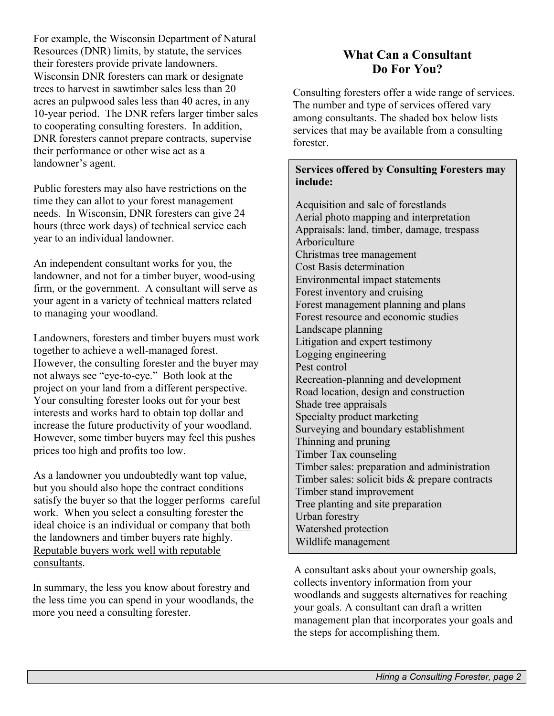For example, the Wisconsin Department of Natural Resources (DNR) limits, by statute, the services their foresters provide private landowners. Wisconsin DNR foresters can mark or designate trees to harvest in sawtimber sales less than 20 acres an pulpwood sales less than 40 acres, in any 10-year period. The DNR refers larger timber sales to cooperating consulting foresters. In addition, DNR foresters cannot prepare contracts, supervise their performance or other wise act as a landowner's agent.

Public foresters may also have restrictions on the time they can allot to your forest management needs. In Wisconsin, DNR foresters can give 24 hours (three work days) of technical service each year to an individual landowner.

An independent consultant works for you, the landowner, and not for a timber buyer, wood-using firm, or the government. A consultant will serve as your agent in a variety of technical matters related to managing your woodland.

Landowners, foresters and timber buyers must work together to achieve a well-managed forest. However, the consulting forester and the buyer may not always see "eye-to-eye." Both look at the project on your land from a different perspective. Your consulting forester looks out for your best interests and works hard to obtain top dollar and increase the future productivity of your woodland. However, some timber buyers may feel this pushes prices too high and profits too low.

As a landowner you undoubtedly want top value, but you should also hope the contract conditions satisfy the buyer so that the logger performs careful work. When you select a consulting forester the ideal choice is an individual or company that both the landowners and timber buyers rate highly. Reputable buyers work well with reputable consultants.

In summary, the less you know about forestry and the less time you can spend in your woodlands, the more you need a consulting forester.

# **What Can a Consultant Do For You?**

Consulting foresters offer a wide range of services. The number and type of services offered vary among consultants. The shaded box below lists services that may be available from a consulting forester.

#### **Services offered by Consulting Foresters may include:**

Acquisition and sale of forestlands Aerial photo mapping and interpretation Appraisals: land, timber, damage, trespass Arboriculture Christmas tree management Cost Basis determination Environmental impact statements Forest inventory and cruising Forest management planning and plans Forest resource and economic studies Landscape planning Litigation and expert testimony Logging engineering Pest control Recreation-planning and development Road location, design and construction Shade tree appraisals Specialty product marketing Surveying and boundary establishment Thinning and pruning Timber Tax counseling Timber sales: preparation and administration Timber sales: solicit bids & prepare contracts Timber stand improvement Tree planting and site preparation Urban forestry Watershed protection Wildlife management

A consultant asks about your ownership goals, collects inventory information from your woodlands and suggests alternatives for reaching your goals. A consultant can draft a written management plan that incorporates your goals and the steps for accomplishing them.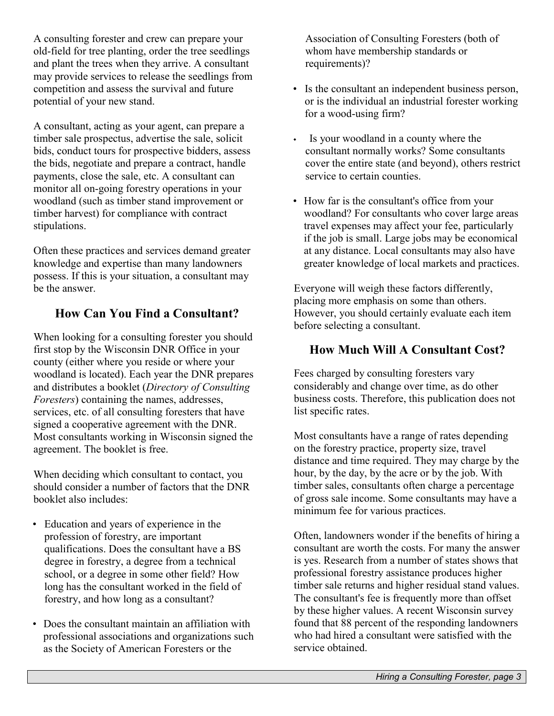A consulting forester and crew can prepare your old-field for tree planting, order the tree seedlings and plant the trees when they arrive. A consultant may provide services to release the seedlings from competition and assess the survival and future potential of your new stand.

A consultant, acting as your agent, can prepare a timber sale prospectus, advertise the sale, solicit bids, conduct tours for prospective bidders, assess the bids, negotiate and prepare a contract, handle payments, close the sale, etc. A consultant can monitor all on-going forestry operations in your woodland (such as timber stand improvement or timber harvest) for compliance with contract stipulations.

Often these practices and services demand greater knowledge and expertise than many landowners possess. If this is your situation, a consultant may be the answer.

# **How Can You Find a Consultant?**

When looking for a consulting forester you should first stop by the Wisconsin DNR Office in your county (either where you reside or where your woodland is located). Each year the DNR prepares and distributes a booklet (*Directory of Consulting Foresters*) containing the names, addresses, services, etc. of all consulting foresters that have signed a cooperative agreement with the DNR. Most consultants working in Wisconsin signed the agreement. The booklet is free.

When deciding which consultant to contact, you should consider a number of factors that the DNR booklet also includes:

- Education and years of experience in the profession of forestry, are important qualifications. Does the consultant have a BS degree in forestry, a degree from a technical school, or a degree in some other field? How long has the consultant worked in the field of forestry, and how long as a consultant?
- Does the consultant maintain an affiliation with professional associations and organizations such as the Society of American Foresters or the

Association of Consulting Foresters (both of whom have membership standards or requirements)?

- Is the consultant an independent business person, or is the individual an industrial forester working for a wood-using firm?
- Is your woodland in a county where the consultant normally works? Some consultants cover the entire state (and beyond), others restrict service to certain counties.
- How far is the consultant's office from your woodland? For consultants who cover large areas travel expenses may affect your fee, particularly if the job is small. Large jobs may be economical at any distance. Local consultants may also have greater knowledge of local markets and practices.

Everyone will weigh these factors differently, placing more emphasis on some than others. However, you should certainly evaluate each item before selecting a consultant.

# **How Much Will A Consultant Cost?**

Fees charged by consulting foresters vary considerably and change over time, as do other business costs. Therefore, this publication does not list specific rates.

Most consultants have a range of rates depending on the forestry practice, property size, travel distance and time required. They may charge by the hour, by the day, by the acre or by the job. With timber sales, consultants often charge a percentage of gross sale income. Some consultants may have a minimum fee for various practices.

Often, landowners wonder if the benefits of hiring a consultant are worth the costs. For many the answer is yes. Research from a number of states shows that professional forestry assistance produces higher timber sale returns and higher residual stand values. The consultant's fee is frequently more than offset by these higher values. A recent Wisconsin survey found that 88 percent of the responding landowners who had hired a consultant were satisfied with the service obtained.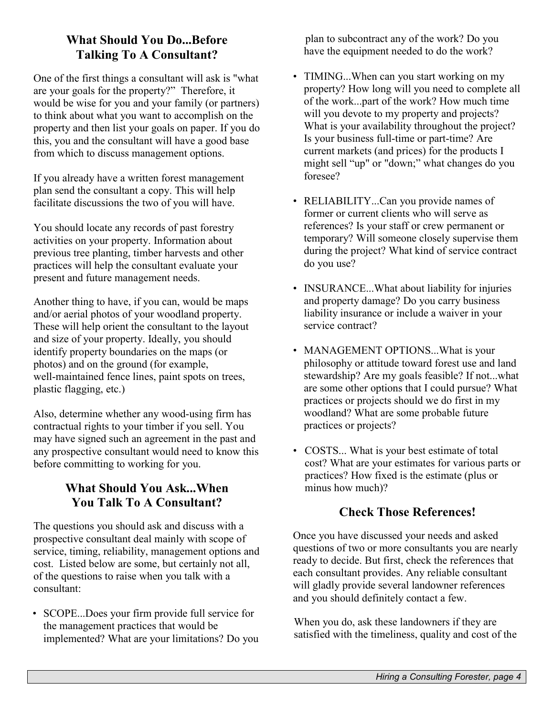# **What Should You Do...Before Talking To A Consultant?**

One of the first things a consultant will ask is "what are your goals for the property?" Therefore, it would be wise for you and your family (or partners) to think about what you want to accomplish on the property and then list your goals on paper. If you do this, you and the consultant will have a good base from which to discuss management options.

If you already have a written forest management plan send the consultant a copy. This will help facilitate discussions the two of you will have.

You should locate any records of past forestry activities on your property. Information about previous tree planting, timber harvests and other practices will help the consultant evaluate your present and future management needs.

Another thing to have, if you can, would be maps and/or aerial photos of your woodland property. These will help orient the consultant to the layout and size of your property. Ideally, you should identify property boundaries on the maps (or photos) and on the ground (for example, well-maintained fence lines, paint spots on trees, plastic flagging, etc.)

Also, determine whether any wood-using firm has contractual rights to your timber if you sell. You may have signed such an agreement in the past and any prospective consultant would need to know this before committing to working for you.

# **What Should You Ask...When You Talk To A Consultant?**

The questions you should ask and discuss with a prospective consultant deal mainly with scope of service, timing, reliability, management options and cost. Listed below are some, but certainly not all, of the questions to raise when you talk with a consultant:

• SCOPE...Does your firm provide full service for the management practices that would be implemented? What are your limitations? Do you plan to subcontract any of the work? Do you have the equipment needed to do the work?

- TIMING...When can you start working on my property? How long will you need to complete all of the work...part of the work? How much time will you devote to my property and projects? What is your availability throughout the project? Is your business full-time or part-time? Are current markets (and prices) for the products I might sell "up" or "down;" what changes do you foresee?
- RELIABILITY...Can you provide names of former or current clients who will serve as references? Is your staff or crew permanent or temporary? Will someone closely supervise them during the project? What kind of service contract do you use?
- INSURANCE...What about liability for injuries and property damage? Do you carry business liability insurance or include a waiver in your service contract?
- MANAGEMENT OPTIONS...What is your philosophy or attitude toward forest use and land stewardship? Are my goals feasible? If not...what are some other options that I could pursue? What practices or projects should we do first in my woodland? What are some probable future practices or projects?
- COSTS... What is your best estimate of total cost? What are your estimates for various parts or practices? How fixed is the estimate (plus or minus how much)?

# **Check Those References!**

Once you have discussed your needs and asked questions of two or more consultants you are nearly ready to decide. But first, check the references that each consultant provides. Any reliable consultant will gladly provide several landowner references and you should definitely contact a few.

When you do, ask these landowners if they are satisfied with the timeliness, quality and cost of the